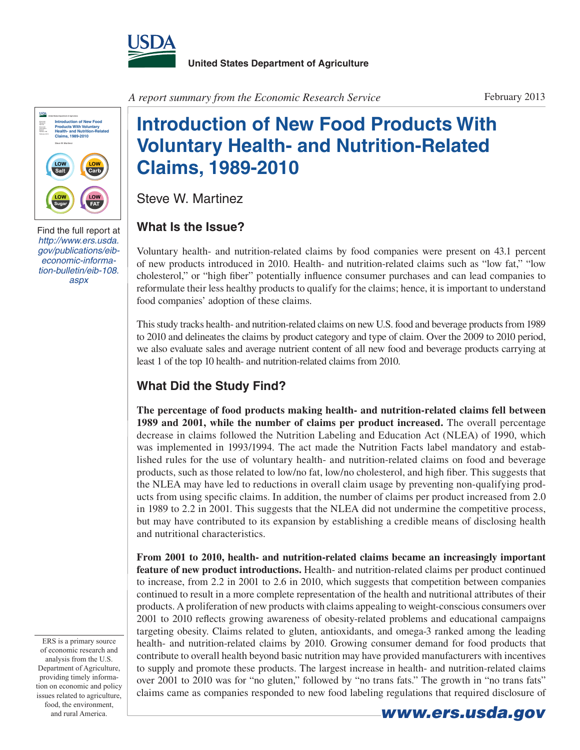



[Find the full report at](http://www.ers.usda.gov/publications/eib-economic-information-bulletin/eib-108.aspx)  *http://www.ers.usda. [gov/publications/eib](http://www.ers.usda.gov/publications/eib-economic-information-bulletin/eib-108.aspx)economic-information-bulletin/eib-108. aspx*

A report summary from the Economic Research Service February 2013

## **Introduction of New Food Products With Voluntary Health- and Nutrition-Related Claims, 1989-2010**

Steve W. Martinez

## **What Is the Issue?**

Voluntary health- and nutrition-related claims by food companies were present on 43.1 percent of new products introduced in 2010. Health- and nutrition-related claims such as "low fat," "low cholesterol," or "high fiber" potentially influence consumer purchases and can lead companies to reformulate their less healthy products to qualify for the claims; hence, it is important to understand food companies' adoption of these claims.

This study tracks health- and nutrition-related claims on new U.S. food and beverage products from 1989 to 2010 and delineates the claims by product category and type of claim. Over the 2009 to 2010 period, we also evaluate sales and average nutrient content of all new food and beverage products carrying at least 1 of the top 10 health- and nutrition-related claims from 2010.

## **What Did the Study Find?**

**The percentage of food products making health- and nutrition-related claims fell between 1989 and 2001, while the number of claims per product increased.** The overall percentage decrease in claims followed the Nutrition Labeling and Education Act (NLEA) of 1990, which was implemented in 1993/1994. The act made the Nutrition Facts label mandatory and established rules for the use of voluntary health- and nutrition-related claims on food and beverage products, such as those related to low/no fat, low/no cholesterol, and high fiber. This suggests that the NLEA may have led to reductions in overall claim usage by preventing non-qualifying products from using specific claims. In addition, the number of claims per product increased from 2.0 in 1989 to 2.2 in 2001. This suggests that the NLEA did not undermine the competitive process, but may have contributed to its expansion by establishing a credible means of disclosing health and nutritional characteristics.

**From 2001 to 2010, health- and nutrition-related claims became an increasingly important feature of new product introductions.** Health- and nutrition-related claims per product continued to increase, from 2.2 in 2001 to 2.6 in 2010, which suggests that competition between companies continued to result in a more complete representation of the health and nutritional attributes of their products. A proliferation of new products with claims appealing to weight-conscious consumers over 2001 to 2010 reflects growing awareness of obesity-related problems and educational campaigns targeting obesity. Claims related to gluten, antioxidants, and omega-3 ranked among the leading health- and nutrition-related claims by 2010. Growing consumer demand for food products that contribute to overall health beyond basic nutrition may have provided manufacturers with incentives to supply and promote these products. The largest increase in health- and nutrition-related claims over 2001 to 2010 was for "no gluten," followed by "no trans fats." The growth in "no trans fats" claims came as companies responded to new food labeling regulations that required disclosure of

ERS is a primary source of economic research and analysis from the U.S. Department of Agriculture, providing timely information on economic and policy issues related to agriculture, food, the environment,